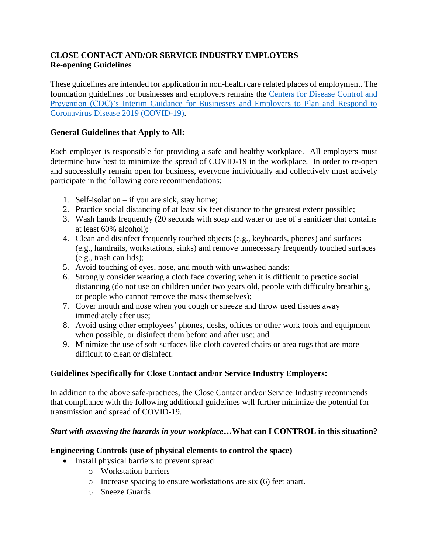# **CLOSE CONTACT AND/OR SERVICE INDUSTRY EMPLOYERS Re-opening Guidelines**

These guidelines are intended for application in non-health care related places of employment. The foundation guidelines for businesses and employers remains the [Centers for Disease Control and](https://www.cdc.gov/coronavirus/2019-ncov/community/guidance-business-response.html)  [Prevention \(CDC\)'s Interim Guidance for Businesses and Employers to Plan and Respond to](https://www.cdc.gov/coronavirus/2019-ncov/community/guidance-business-response.html)  [Coronavirus Disease 2019 \(COVID-19\).](https://www.cdc.gov/coronavirus/2019-ncov/community/guidance-business-response.html)

## **General Guidelines that Apply to All:**

Each employer is responsible for providing a safe and healthy workplace. All employers must determine how best to minimize the spread of COVID-19 in the workplace. In order to re-open and successfully remain open for business, everyone individually and collectively must actively participate in the following core recommendations:

- 1. Self-isolation if you are sick, stay home;
- 2. Practice social distancing of at least six feet distance to the greatest extent possible;
- 3. Wash hands frequently (20 seconds with soap and water or use of a sanitizer that contains at least 60% alcohol);
- 4. Clean and disinfect frequently touched objects (e.g., keyboards, phones) and surfaces (e.g., handrails, workstations, sinks) and remove unnecessary frequently touched surfaces (e.g., trash can lids);
- 5. Avoid touching of eyes, nose, and mouth with unwashed hands;
- 6. Strongly consider wearing a cloth face covering when it is difficult to practice social distancing (do not use on children under two years old, people with difficulty breathing, or people who cannot remove the mask themselves);
- 7. Cover mouth and nose when you cough or sneeze and throw used tissues away immediately after use;
- 8. Avoid using other employees' phones, desks, offices or other work tools and equipment when possible, or disinfect them before and after use; and
- 9. Minimize the use of soft surfaces like cloth covered chairs or area rugs that are more difficult to clean or disinfect.

## **Guidelines Specifically for Close Contact and/or Service Industry Employers:**

In addition to the above safe-practices, the Close Contact and/or Service Industry recommends that compliance with the following additional guidelines will further minimize the potential for transmission and spread of COVID-19.

#### *Start with assessing the hazards in your workplace…***What can I CONTROL in this situation?**

#### **Engineering Controls (use of physical elements to control the space)**

- Install physical barriers to prevent spread:
	- o Workstation barriers
	- o Increase spacing to ensure workstations are six (6) feet apart.
	- o Sneeze Guards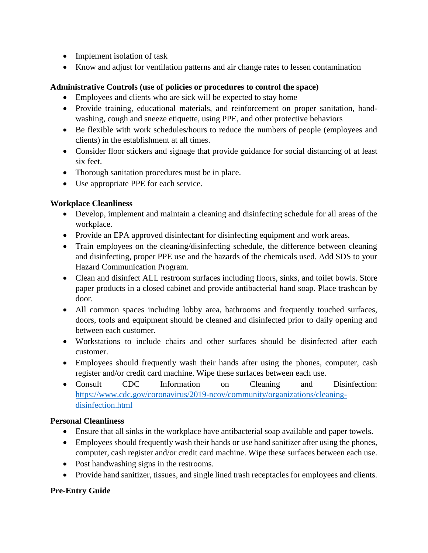- Implement isolation of task
- Know and adjust for ventilation patterns and air change rates to lessen contamination

## **Administrative Controls (use of policies or procedures to control the space)**

- Employees and clients who are sick will be expected to stay home
- Provide training, educational materials, and reinforcement on proper sanitation, handwashing, cough and sneeze etiquette, using PPE, and other protective behaviors
- Be flexible with work schedules/hours to reduce the numbers of people (employees and clients) in the establishment at all times.
- Consider floor stickers and signage that provide guidance for social distancing of at least six feet.
- Thorough sanitation procedures must be in place.
- Use appropriate PPE for each service.

## **Workplace Cleanliness**

- Develop, implement and maintain a cleaning and disinfecting schedule for all areas of the workplace.
- Provide an EPA approved disinfectant for disinfecting equipment and work areas.
- Train employees on the cleaning/disinfecting schedule, the difference between cleaning and disinfecting, proper PPE use and the hazards of the chemicals used. Add SDS to your Hazard Communication Program.
- Clean and disinfect ALL restroom surfaces including floors, sinks, and toilet bowls. Store paper products in a closed cabinet and provide antibacterial hand soap. Place trashcan by door.
- All common spaces including lobby area, bathrooms and frequently touched surfaces, doors, tools and equipment should be cleaned and disinfected prior to daily opening and between each customer.
- Workstations to include chairs and other surfaces should be disinfected after each customer.
- Employees should frequently wash their hands after using the phones, computer, cash register and/or credit card machine. Wipe these surfaces between each use.
- Consult CDC Information on Cleaning and Disinfection: [https://www.cdc.gov/coronavirus/2019-ncov/community/organizations/cleaning](https://www.cdc.gov/coronavirus/2019-ncov/community/organizations/cleaning-disinfection.html)[disinfection.html](https://www.cdc.gov/coronavirus/2019-ncov/community/organizations/cleaning-disinfection.html)

# **Personal Cleanliness**

- Ensure that all sinks in the workplace have antibacterial soap available and paper towels.
- Employees should frequently wash their hands or use hand sanitizer after using the phones, computer, cash register and/or credit card machine. Wipe these surfaces between each use.
- Post handwashing signs in the restrooms.
- Provide hand sanitizer, tissues, and single lined trash receptacles for employees and clients.

## **Pre-Entry Guide**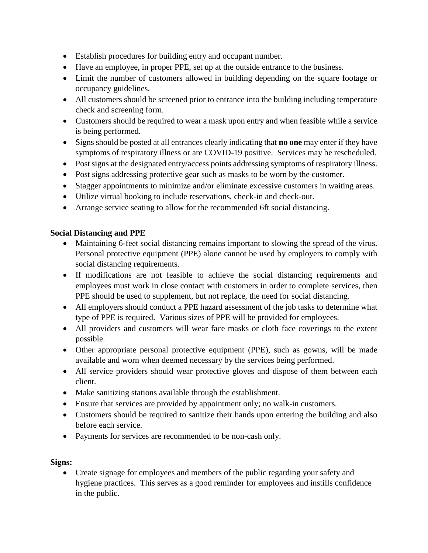- Establish procedures for building entry and occupant number.
- Have an employee, in proper PPE, set up at the outside entrance to the business.
- Limit the number of customers allowed in building depending on the square footage or occupancy guidelines.
- All customers should be screened prior to entrance into the building including temperature check and screening form.
- Customers should be required to wear a mask upon entry and when feasible while a service is being performed.
- Signs should be posted at all entrances clearly indicating that **no one** may enter if they have symptoms of respiratory illness or are COVID-19 positive. Services may be rescheduled.
- Post signs at the designated entry/access points addressing symptoms of respiratory illness.
- Post signs addressing protective gear such as masks to be worn by the customer.
- Stagger appointments to minimize and/or eliminate excessive customers in waiting areas.
- Utilize virtual booking to include reservations, check-in and check-out.
- Arrange service seating to allow for the recommended 6ft social distancing.

## **Social Distancing and PPE**

- Maintaining 6-feet social distancing remains important to slowing the spread of the virus. Personal protective equipment (PPE) alone cannot be used by employers to comply with social distancing requirements.
- If modifications are not feasible to achieve the social distancing requirements and employees must work in close contact with customers in order to complete services, then PPE should be used to supplement, but not replace, the need for social distancing.
- All employers should conduct a PPE hazard assessment of the job tasks to determine what type of PPE is required. Various sizes of PPE will be provided for employees.
- All providers and customers will wear face masks or cloth face coverings to the extent possible.
- Other appropriate personal protective equipment (PPE), such as gowns, will be made available and worn when deemed necessary by the services being performed.
- All service providers should wear protective gloves and dispose of them between each client.
- Make sanitizing stations available through the establishment.
- Ensure that services are provided by appointment only; no walk-in customers.
- Customers should be required to sanitize their hands upon entering the building and also before each service.
- Payments for services are recommended to be non-cash only.

## **Signs:**

• Create signage for employees and members of the public regarding your safety and hygiene practices. This serves as a good reminder for employees and instills confidence in the public.